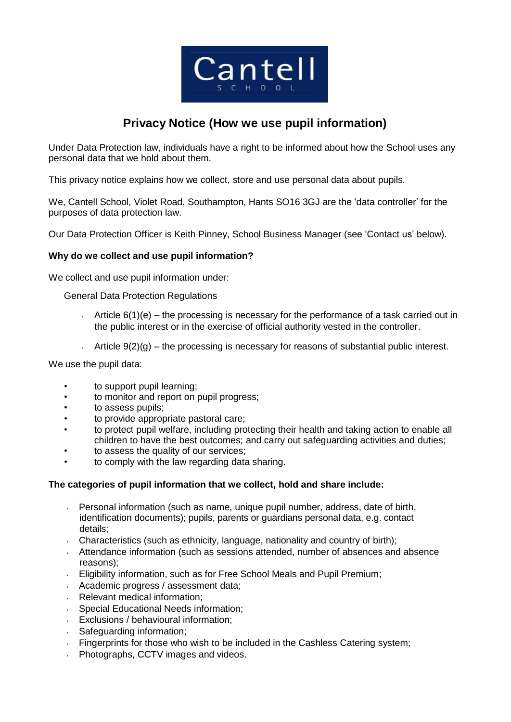

# **Privacy Notice (How we use pupil information)**

Under Data Protection law, individuals have a right to be informed about how the School uses any personal data that we hold about them.

This privacy notice explains how we collect, store and use personal data about pupils.

We, Cantell School, Violet Road, Southampton, Hants SO16 3GJ are the 'data controller' for the purposes of data protection law.

Our Data Protection Officer is Keith Pinney, School Business Manager (see 'Contact us' below).

#### **Why do we collect and use pupil information?**

We collect and use pupil information under:

General Data Protection Regulations

- Article  $6(1)(e)$  the processing is necessary for the performance of a task carried out in the public interest or in the exercise of official authority vested in the controller.
- Article  $9(2)(g)$  the processing is necessary for reasons of substantial public interest.

We use the pupil data:

- to support pupil learning;
- to monitor and report on pupil progress;
- to assess pupils;
- to provide appropriate pastoral care;
- to protect pupil welfare, including protecting their health and taking action to enable all children to have the best outcomes; and carry out safeguarding activities and duties;
- to assess the quality of our services;
- to comply with the law regarding data sharing.

#### **The categories of pupil information that we collect, hold and share include:**

- Personal information (such as name, unique pupil number, address, date of birth, identification documents); pupils, parents or guardians personal data, e.g. contact details;
- Characteristics (such as ethnicity, language, nationality and country of birth);
- $\sim$  Attendance information (such as sessions attended, number of absences and absence reasons);
- Eligibility information, such as for Free School Meals and Pupil Premium;
- Academic progress / assessment data;
- Relevant medical information;
- Special Educational Needs information;  $\sqrt{2}$
- Exclusions / behavioural information;
- Safeguarding information;
- Fingerprints for those who wish to be included in the Cashless Catering system;
- Photographs, CCTV images and videos.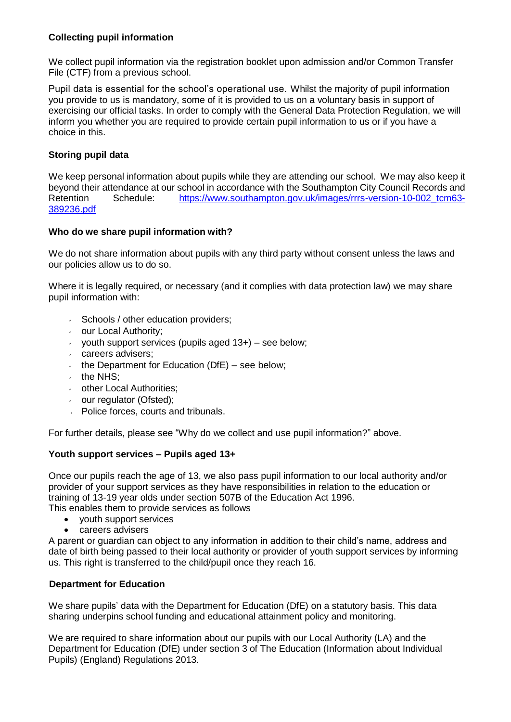## **Collecting pupil information**

We collect pupil information via the registration booklet upon admission and/or Common Transfer File (CTF) from a previous school.

Pupil data is essential for the school's operational use. Whilst the majority of pupil information you provide to us is mandatory, some of it is provided to us on a voluntary basis in support of exercising our official tasks. In order to comply with the General Data Protection Regulation, we will inform you whether you are required to provide certain pupil information to us or if you have a choice in this.

## **Storing pupil data**

We keep personal information about pupils while they are attending our school. We may also keep it beyond their attendance at our school in accordance with the Southampton City Council Records and Retention Schedule: [https://www.southampton.gov.uk/images/rrrs-version-10-002\\_tcm63-](https://www.southampton.gov.uk/images/rrrs-version-10-002_tcm63-389236.pdf) [389236.pdf](https://www.southampton.gov.uk/images/rrrs-version-10-002_tcm63-389236.pdf)

## **Who do we share pupil information with?**

We do not share information about pupils with any third party without consent unless the laws and our policies allow us to do so.

Where it is legally required, or necessary (and it complies with data protection law) we may share pupil information with:

- $\sim$  Schools / other education providers;
- **b** our Local Authority;
- youth support services (pupils aged  $13+$ ) see below;
- careers advisers;
- the Department for Education ( $DfE$ ) see below;
- $\cdot$  the NHS:
- other Local Authorities;
- our regulator (Ofsted);
- **Police forces, courts and tribunals.**

For further details, please see "Why do we collect and use pupil information?" above.

### **Youth support services – Pupils aged 13+**

Once our pupils reach the age of 13, we also pass pupil information to our local authority and/or provider of your support services as they have responsibilities in relation to the education or training of 13-19 year olds under section 507B of the Education Act 1996.

This enables them to provide services as follows

- youth support services
- careers advisers

A parent or guardian can object to any information in addition to their child's name, address and date of birth being passed to their local authority or provider of youth support services by informing us. This right is transferred to the child/pupil once they reach 16.

### **Department for Education**

We share pupils' data with the Department for Education (DfE) on a statutory basis. This data sharing underpins school funding and educational attainment policy and monitoring.

We are required to share information about our pupils with our Local Authority (LA) and the Department for Education (DfE) under section 3 of The Education (Information about Individual Pupils) (England) Regulations 2013.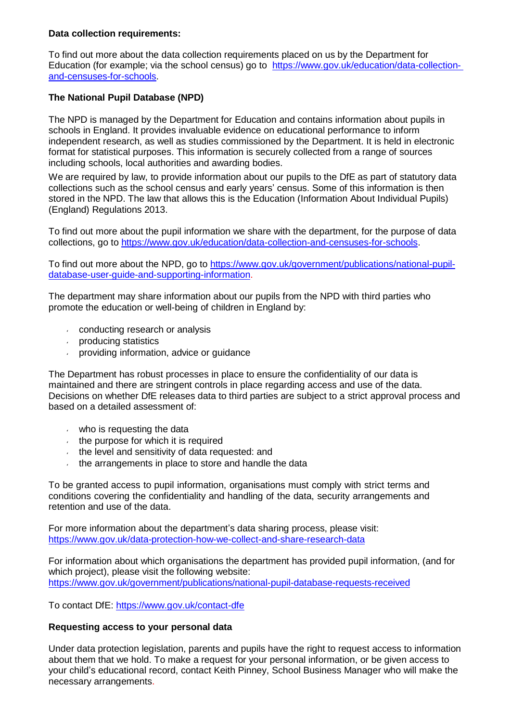### **Data collection requirements:**

To find out more about the data collection requirements placed on us by the Department for Education (for example; via the school census) go to [https://www.gov.uk/education/data-collection](https://www.gov.uk/education/data-collection-)[and-censuses-for-schools.](https://www.gov.uk/education/data-collection-and-censuses-for-schools)

## **The National Pupil Database (NPD)**

The NPD is managed by the Department for Education and contains information about pupils in schools in England. It provides invaluable evidence on educational performance to inform independent research, as well as studies commissioned by the Department. It is held in electronic format for statistical purposes. This information is securely collected from a range of sources including schools, local authorities and awarding bodies.

We are required by law, to provide information about our pupils to the DfE as part of statutory data collections such as the school census and early years' census. Some of this information is then stored in the NPD. The law that allows this is the Education (Information About Individual Pupils) (England) Regulations 2013.

To find out more about the pupil information we share with the department, for the purpose of data collections, go to [https://www.gov.uk/education/data-collection-and-censuses-for-schools.](https://www.gov.uk/education/data-collection-and-censuses-for-schools)

To find out more about the NPD, go to [https://www.gov.uk/government/publications/national-pupil](https://www.gov.uk/government/publications/national-pupil-database-user-guide-and-supporting-information)[database-user-guide-and-supporting-information.](https://www.gov.uk/government/publications/national-pupil-database-user-guide-and-supporting-information)

The department may share information about our pupils from the NPD with third parties who promote the education or well-being of children in England by:

- conducting research or analysis
- producing statistics
- providing information, advice or guidance

The Department has robust processes in place to ensure the confidentiality of our data is maintained and there are stringent controls in place regarding access and use of the data. Decisions on whether DfE releases data to third parties are subject to a strict approval process and based on a detailed assessment of:

- who is requesting the data
- $\cdot$  the purpose for which it is required
- the level and sensitivity of data requested: and
- $\cdot$  the arrangements in place to store and handle the data

To be granted access to pupil information, organisations must comply with strict terms and conditions covering the confidentiality and handling of the data, security arrangements and retention and use of the data.

For more information about the department's data sharing process, please visit: <https://www.gov.uk/data-protection-how-we-collect-and-share-research-data>

For information about which organisations the department has provided pupil information, (and for which project), please visit the following website: <https://www.gov.uk/government/publications/national-pupil-database-requests-received>

To contact DfE:<https://www.gov.uk/contact-dfe>

### **Requesting access to your personal data**

Under data protection legislation, parents and pupils have the right to request access to information about them that we hold. To make a request for your personal information, or be given access to your child's educational record, contact Keith Pinney, School Business Manager who will make the necessary arrangements.